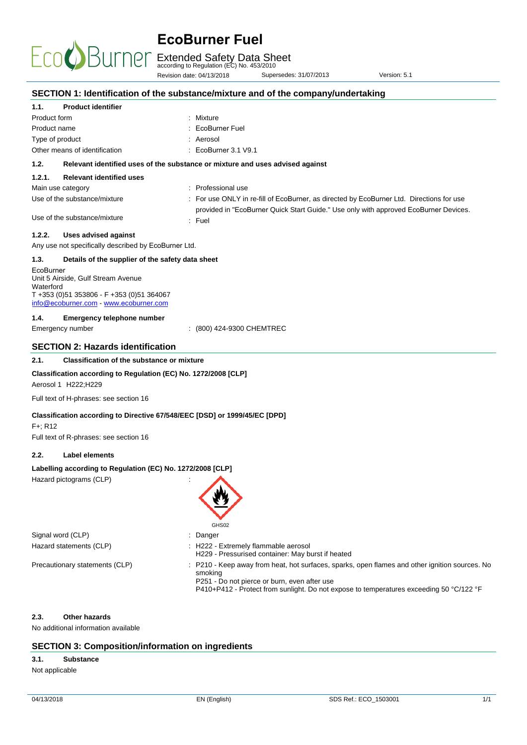Extended Safety Data Sheet according to Regulation (EC) No. 453/2010

|                        |                                                                                                                           | Revision date: 04/13/2018                                                         | Supersedes: 31/07/2013                                                                            | Version: 5.1                                                                                                                                                                              |
|------------------------|---------------------------------------------------------------------------------------------------------------------------|-----------------------------------------------------------------------------------|---------------------------------------------------------------------------------------------------|-------------------------------------------------------------------------------------------------------------------------------------------------------------------------------------------|
|                        |                                                                                                                           | SECTION 1: Identification of the substance/mixture and of the company/undertaking |                                                                                                   |                                                                                                                                                                                           |
| 1.1.                   | <b>Product identifier</b>                                                                                                 |                                                                                   |                                                                                                   |                                                                                                                                                                                           |
| Product form           |                                                                                                                           | : Mixture                                                                         |                                                                                                   |                                                                                                                                                                                           |
| Product name           |                                                                                                                           | <b>EcoBurner Fuel</b>                                                             |                                                                                                   |                                                                                                                                                                                           |
|                        | Type of product                                                                                                           | : Aerosol                                                                         |                                                                                                   |                                                                                                                                                                                           |
|                        | Other means of identification                                                                                             | : EcoBurner 3.1 V9.1                                                              |                                                                                                   |                                                                                                                                                                                           |
| 1.2.                   |                                                                                                                           | Relevant identified uses of the substance or mixture and uses advised against     |                                                                                                   |                                                                                                                                                                                           |
| 1.2.1.                 | <b>Relevant identified uses</b>                                                                                           |                                                                                   |                                                                                                   |                                                                                                                                                                                           |
|                        | Main use category                                                                                                         | : Professional use                                                                |                                                                                                   |                                                                                                                                                                                           |
|                        | Use of the substance/mixture                                                                                              |                                                                                   |                                                                                                   | : For use ONLY in re-fill of EcoBurner, as directed by EcoBurner Ltd. Directions for use                                                                                                  |
|                        | Use of the substance/mixture                                                                                              | : Fuel                                                                            |                                                                                                   | provided in "EcoBurner Quick Start Guide." Use only with approved EcoBurner Devices.                                                                                                      |
| 1.2.2.                 | <b>Uses advised against</b>                                                                                               |                                                                                   |                                                                                                   |                                                                                                                                                                                           |
|                        | Any use not specifically described by EcoBurner Ltd.                                                                      |                                                                                   |                                                                                                   |                                                                                                                                                                                           |
| 1.3.                   | Details of the supplier of the safety data sheet                                                                          |                                                                                   |                                                                                                   |                                                                                                                                                                                           |
| EcoBurner<br>Waterford | Unit 5 Airside, Gulf Stream Avenue<br>T +353 (0)51 353806 - F +353 (0)51 364067<br>info@ecoburner.com - www.ecoburner.com |                                                                                   |                                                                                                   |                                                                                                                                                                                           |
| 1.4.                   | <b>Emergency telephone number</b>                                                                                         |                                                                                   |                                                                                                   |                                                                                                                                                                                           |
|                        | Emergency number                                                                                                          | : (800) 424-9300 CHEMTREC                                                         |                                                                                                   |                                                                                                                                                                                           |
|                        | <b>SECTION 2: Hazards identification</b>                                                                                  |                                                                                   |                                                                                                   |                                                                                                                                                                                           |
| 2.1.                   | <b>Classification of the substance or mixture</b>                                                                         |                                                                                   |                                                                                                   |                                                                                                                                                                                           |
|                        | Aerosol 1 H222; H229                                                                                                      | Classification according to Regulation (EC) No. 1272/2008 [CLP]                   |                                                                                                   |                                                                                                                                                                                           |
|                        | Full text of H-phrases: see section 16                                                                                    |                                                                                   |                                                                                                   |                                                                                                                                                                                           |
| $F +$ ; R12            | Full text of R-phrases: see section 16                                                                                    | Classification according to Directive 67/548/EEC [DSD] or 1999/45/EC [DPD]        |                                                                                                   |                                                                                                                                                                                           |
|                        |                                                                                                                           |                                                                                   |                                                                                                   |                                                                                                                                                                                           |
| 2.2.                   | Label elements                                                                                                            |                                                                                   |                                                                                                   |                                                                                                                                                                                           |
|                        | Labelling according to Regulation (EC) No. 1272/2008 [CLP]<br>Hazard pictograms (CLP)                                     | GHS02                                                                             |                                                                                                   |                                                                                                                                                                                           |
|                        | Signal word (CLP)                                                                                                         | Danger<br>÷                                                                       |                                                                                                   |                                                                                                                                                                                           |
|                        | Hazard statements (CLP)                                                                                                   | : H222 - Extremely flammable aerosol                                              |                                                                                                   |                                                                                                                                                                                           |
|                        | Precautionary statements (CLP)                                                                                            | smoking                                                                           | H229 - Pressurised container: May burst if heated<br>P251 - Do not pierce or burn, even after use | : P210 - Keep away from heat, hot surfaces, sparks, open flames and other ignition sources. No<br>P410+P412 - Protect from sunlight. Do not expose to temperatures exceeding 50 °C/122 °F |
| 2.3.                   | Other hazards<br>No additional information available                                                                      |                                                                                   |                                                                                                   |                                                                                                                                                                                           |
|                        |                                                                                                                           | <b>SECTION 3: Composition/information on ingredients</b>                          |                                                                                                   |                                                                                                                                                                                           |
| 3.1.                   | <b>Substance</b>                                                                                                          |                                                                                   |                                                                                                   |                                                                                                                                                                                           |

Not applicable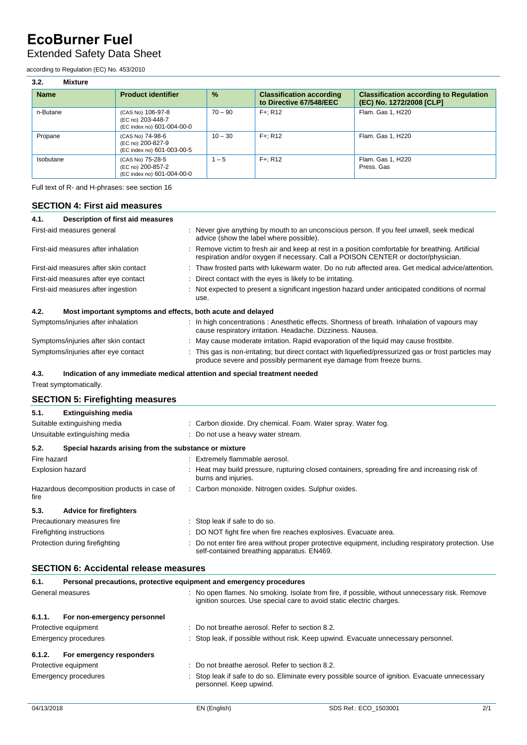### Extended Safety Data Sheet

according to Regulation (EC) No. 453/2010

| 3.2.<br><b>Mixture</b> |                                                                      |           |                                                            |                                                                           |
|------------------------|----------------------------------------------------------------------|-----------|------------------------------------------------------------|---------------------------------------------------------------------------|
| <b>Name</b>            | <b>Product identifier</b>                                            | $\%$      | <b>Classification according</b><br>to Directive 67/548/EEC | <b>Classification according to Regulation</b><br>(EC) No. 1272/2008 [CLP] |
| n-Butane               | (CAS No) 106-97-8<br>(EC no) 203-448-7<br>(EC index no) 601-004-00-0 | $70 - 90$ | $F +: R12$                                                 | Flam. Gas 1, H220                                                         |
| Propane                | (CAS No) 74-98-6<br>(EC no) 200-827-9<br>(EC index no) 601-003-00-5  | $10 - 30$ | $F + R12$                                                  | Flam. Gas 1, H220                                                         |
| Isobutane              | (CAS No) 75-28-5<br>(EC no) 200-857-2<br>(EC index no) 601-004-00-0  | $1 - 5$   | $F +: R12$                                                 | Flam. Gas 1, H220<br>Press, Gas                                           |

Full text of R- and H-phrases: see section 16

### **SECTION 4: First aid measures**

| 4.1.                                 | Description of first aid measures                           |                                                                                                                                                                                      |  |  |  |  |
|--------------------------------------|-------------------------------------------------------------|--------------------------------------------------------------------------------------------------------------------------------------------------------------------------------------|--|--|--|--|
| First-aid measures general           |                                                             | : Never give anything by mouth to an unconscious person. If you feel unwell, seek medical<br>advice (show the label where possible).                                                 |  |  |  |  |
| First-aid measures after inhalation  |                                                             | Remove victim to fresh air and keep at rest in a position comfortable for breathing. Artificial<br>respiration and/or oxygen if necessary. Call a POISON CENTER or doctor/physician. |  |  |  |  |
|                                      | First-aid measures after skin contact                       | : Thaw frosted parts with lukewarm water. Do no rub affected area. Get medical advice/attention.                                                                                     |  |  |  |  |
| First-aid measures after eye contact |                                                             | : Direct contact with the eyes is likely to be irritating.                                                                                                                           |  |  |  |  |
| First-aid measures after ingestion   |                                                             | : Not expected to present a significant ingestion hazard under anticipated conditions of normal<br>use.                                                                              |  |  |  |  |
| 4.2.                                 | Most important symptoms and effects, both acute and delayed |                                                                                                                                                                                      |  |  |  |  |
|                                      | Symptoms/injuries after inhalation                          | : In high concentrations: Anesthetic effects. Shortness of breath. Inhalation of vapours may<br>cause respiratory irritation. Headache. Dizziness. Nausea.                           |  |  |  |  |
| Symptoms/injuries after skin contact |                                                             | May cause moderate irritation. Rapid evaporation of the liquid may cause frostbite.                                                                                                  |  |  |  |  |
| Symptoms/injuries after eye contact  |                                                             | This gas is non-irritating; but direct contact with liguefied/pressurized gas or frost particles may<br>produce severe and possibly permanent eye damage from freeze burns.          |  |  |  |  |

### **4.3. Indication of any immediate medical attention and special treatment needed**

Treat symptomatically.

### **SECTION 5: Firefighting measures**

| 5.1.                           | <b>Extinguishing media</b>                            |                                                                                                                                                   |  |  |
|--------------------------------|-------------------------------------------------------|---------------------------------------------------------------------------------------------------------------------------------------------------|--|--|
|                                | Suitable extinguishing media                          | : Carbon dioxide. Dry chemical. Foam. Water spray. Water fog.                                                                                     |  |  |
| Unsuitable extinguishing media |                                                       | : Do not use a heavy water stream.                                                                                                                |  |  |
| 5.2.                           | Special hazards arising from the substance or mixture |                                                                                                                                                   |  |  |
| Fire hazard                    |                                                       | : Extremely flammable aerosol.                                                                                                                    |  |  |
| <b>Explosion hazard</b>        |                                                       | : Heat may build pressure, rupturing closed containers, spreading fire and increasing risk of<br>burns and injuries.                              |  |  |
| fire                           | Hazardous decomposition products in case of           | : Carbon monoxide. Nitrogen oxides. Sulphur oxides.                                                                                               |  |  |
| 5.3.                           | <b>Advice for firefighters</b>                        |                                                                                                                                                   |  |  |
|                                | Precautionary measures fire                           | : Stop leak if safe to do so.                                                                                                                     |  |  |
|                                | Firefighting instructions                             | : DO NOT fight fire when fire reaches explosives. Evacuate area.                                                                                  |  |  |
| Protection during firefighting |                                                       | : Do not enter fire area without proper protective equipment, including respiratory protection. Use<br>self-contained breathing apparatus. EN469. |  |  |

### **SECTION 6: Accidental release measures**

| 6.1.                 | Personal precautions, protective equipment and emergency procedures |  |                                                                                                                                                                        |  |  |  |
|----------------------|---------------------------------------------------------------------|--|------------------------------------------------------------------------------------------------------------------------------------------------------------------------|--|--|--|
| General measures     |                                                                     |  | : No open flames. No smoking. Isolate from fire, if possible, without unnecessary risk. Remove<br>ignition sources. Use special care to avoid static electric charges. |  |  |  |
| 6.1.1.               | For non-emergency personnel                                         |  |                                                                                                                                                                        |  |  |  |
|                      | Protective equipment                                                |  | $\therefore$ Do not breathe aerosol. Refer to section 8.2.                                                                                                             |  |  |  |
| Emergency procedures |                                                                     |  | : Stop leak, if possible without risk. Keep upwind. Evacuate unnecessary personnel.                                                                                    |  |  |  |
| 6.1.2.               | For emergency responders                                            |  |                                                                                                                                                                        |  |  |  |
|                      | Protective equipment                                                |  | $\therefore$ Do not breathe aerosol. Refer to section 8.2.                                                                                                             |  |  |  |
| Emergency procedures |                                                                     |  | : Stop leak if safe to do so. Eliminate every possible source of ignition. Evacuate unnecessary<br>personnel. Keep upwind.                                             |  |  |  |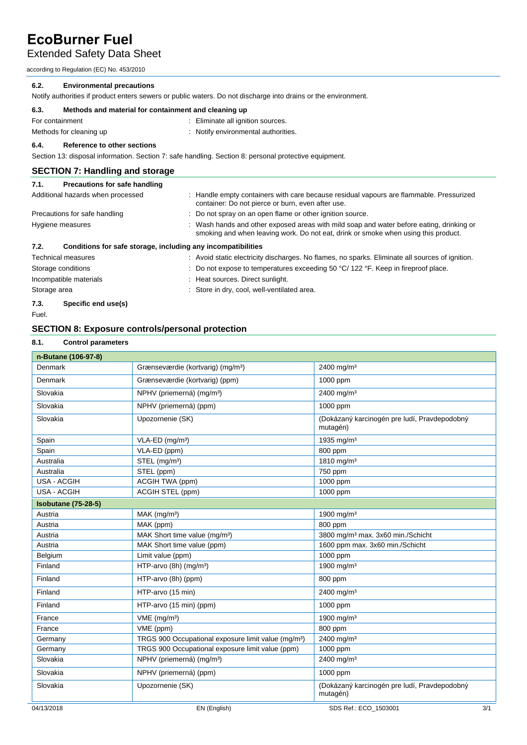Extended Safety Data Sheet

according to Regulation (EC) No. 453/2010

### **6.2. Environmental precautions**

Notify authorities if product enters sewers or public waters. Do not discharge into drains or the environment.

| 6.3. | Methods and material for containment and cleaning up |  |
|------|------------------------------------------------------|--|
|      |                                                      |  |

| For containment         | : Eliminate all ignition sources.   |
|-------------------------|-------------------------------------|
| Methods for cleaning up | : Notify environmental authorities. |

### **6.4. Reference to other sections**

Section 13: disposal information. Section 7: safe handling. Section 8: personal protective equipment.

### **SECTION 7: Handling and storage**

| 7.1.                   | Precautions for safe handling                                |                                                                                                                                                                                |  |  |
|------------------------|--------------------------------------------------------------|--------------------------------------------------------------------------------------------------------------------------------------------------------------------------------|--|--|
|                        | Additional hazards when processed                            | : Handle empty containers with care because residual vapours are flammable. Pressurized<br>container: Do not pierce or burn, even after use.                                   |  |  |
|                        | Precautions for safe handling                                | : Do not spray on an open flame or other ignition source.                                                                                                                      |  |  |
|                        | Hygiene measures                                             | : Wash hands and other exposed areas with mild soap and water before eating, drinking or<br>smoking and when leaving work. Do not eat, drink or smoke when using this product. |  |  |
| 7.2.                   | Conditions for safe storage, including any incompatibilities |                                                                                                                                                                                |  |  |
|                        | <b>Technical measures</b>                                    | : Avoid static electricity discharges. No flames, no sparks. Eliminate all sources of ignition.                                                                                |  |  |
| Storage conditions     |                                                              | : Do not expose to temperatures exceeding 50 $\degree$ C/ 122 $\degree$ F. Keep in fireproof place.                                                                            |  |  |
| Incompatible materials |                                                              | : Heat sources. Direct sunlight.                                                                                                                                               |  |  |
| Storage area           |                                                              | : Store in dry, cool, well-ventilated area.                                                                                                                                    |  |  |

### **7.3. Specific end use(s)**

Fuel.

### **SECTION 8: Exposure controls/personal protection**

#### **8.1. Control parameters**

| n-Butane (106-97-8)        |                                                                 |                                                          |     |
|----------------------------|-----------------------------------------------------------------|----------------------------------------------------------|-----|
| Denmark                    | Grænseværdie (kortvarig) (mg/m <sup>3</sup> )                   | $2400$ mg/m <sup>3</sup>                                 |     |
| Denmark                    | Grænseværdie (kortvarig) (ppm)                                  | 1000 ppm                                                 |     |
| Slovakia                   | NPHV (priemerná) (mg/m <sup>3</sup> )                           | 2400 mg/m <sup>3</sup>                                   |     |
| Slovakia                   | NPHV (priemerná) (ppm)                                          | 1000 ppm                                                 |     |
| Slovakia                   | Upozornenie (SK)                                                | (Dokázaný karcinogén pre ludí, Pravdepodobný<br>mutagén) |     |
| Spain                      | VLA-ED (mg/m <sup>3</sup> )                                     | 1935 mg/m <sup>3</sup>                                   |     |
| Spain                      | VLA-ED (ppm)                                                    | 800 ppm                                                  |     |
| Australia                  | STEL (mg/m <sup>3</sup> )                                       | 1810 mg/m <sup>3</sup>                                   |     |
| Australia                  | STEL (ppm)                                                      | 750 ppm                                                  |     |
| <b>USA - ACGIH</b>         | ACGIH TWA (ppm)                                                 | 1000 ppm                                                 |     |
| <b>USA - ACGIH</b>         | ACGIH STEL (ppm)                                                | 1000 ppm                                                 |     |
| <b>Isobutane (75-28-5)</b> |                                                                 |                                                          |     |
| Austria                    | MAK (mg/m <sup>3</sup> )                                        | 1900 mg/m <sup>3</sup>                                   |     |
| Austria                    | MAK (ppm)                                                       | 800 ppm                                                  |     |
| Austria                    | MAK Short time value (mg/m <sup>3</sup> )                       | 3800 mg/m <sup>3</sup> max. 3x60 min./Schicht            |     |
| Austria                    | MAK Short time value (ppm)                                      | 1600 ppm max. 3x60 min./Schicht                          |     |
| Belgium                    | Limit value (ppm)                                               | 1000 ppm                                                 |     |
| Finland                    | HTP-arvo (8h) (mg/m <sup>3</sup> )                              | 1900 mg/m <sup>3</sup>                                   |     |
| Finland                    | HTP-arvo (8h) (ppm)                                             | 800 ppm                                                  |     |
| Finland                    | HTP-arvo (15 min)                                               | 2400 mg/m <sup>3</sup>                                   |     |
| Finland                    | HTP-arvo (15 min) (ppm)                                         | 1000 ppm                                                 |     |
| France                     | $VME$ (mg/m <sup>3</sup> )                                      | 1900 mg/m <sup>3</sup>                                   |     |
| France                     | VME (ppm)                                                       | 800 ppm                                                  |     |
| Germany                    | TRGS 900 Occupational exposure limit value (mg/m <sup>3</sup> ) | 2400 mg/m <sup>3</sup>                                   |     |
| Germany                    | TRGS 900 Occupational exposure limit value (ppm)                | 1000 ppm                                                 |     |
| Slovakia                   | NPHV (priemerná) (mg/m <sup>3</sup> )                           | 2400 mg/m <sup>3</sup>                                   |     |
| Slovakia                   | NPHV (priemerná) (ppm)                                          | 1000 ppm                                                 |     |
| Slovakia                   | Upozornenie (SK)                                                | (Dokázaný karcinogén pre ludí, Pravdepodobný<br>mutagén) |     |
| 04/13/2018                 | EN (English)                                                    | SDS Ref.: ECO_1503001                                    | 3/1 |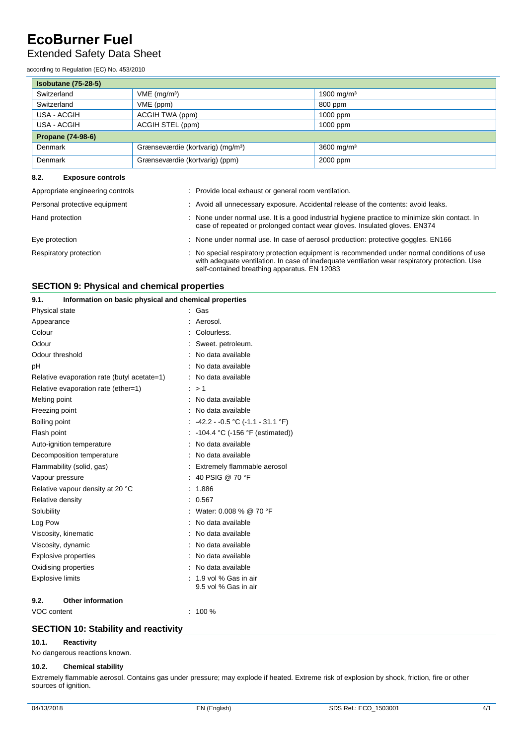### Extended Safety Data Sheet

according to Regulation (EC) No. 453/2010

| <b>Isobutane (75-28-5)</b> |                                               |                        |  |  |  |  |  |  |  |
|----------------------------|-----------------------------------------------|------------------------|--|--|--|--|--|--|--|
| Switzerland                | $VME$ (mg/m <sup>3</sup> )                    | 1900 mg/m <sup>3</sup> |  |  |  |  |  |  |  |
| Switzerland                | VME (ppm)                                     | 800 ppm                |  |  |  |  |  |  |  |
| USA - ACGIH                | ACGIH TWA (ppm)                               | 1000 ppm               |  |  |  |  |  |  |  |
| USA - ACGIH                | ACGIH STEL (ppm)                              | 1000 ppm               |  |  |  |  |  |  |  |
| <b>Propane (74-98-6)</b>   |                                               |                        |  |  |  |  |  |  |  |
| Denmark                    | Grænseværdie (kortvarig) (mg/m <sup>3</sup> ) | 3600 mg/m <sup>3</sup> |  |  |  |  |  |  |  |
| Denmark                    | Grænseværdie (kortvarig) (ppm)                | 2000 ppm               |  |  |  |  |  |  |  |

### **8.2. Exposure controls**

| Appropriate engineering controls | : Provide local exhaust or general room ventilation.                                                                                                                                                                                         |
|----------------------------------|----------------------------------------------------------------------------------------------------------------------------------------------------------------------------------------------------------------------------------------------|
| Personal protective equipment    | : Avoid all unnecessary exposure. Accidental release of the contents: avoid leaks.                                                                                                                                                           |
| Hand protection                  | : None under normal use. It is a good industrial hygiene practice to minimize skin contact. In<br>case of repeated or prolonged contact wear gloves. Insulated gloves. EN374                                                                 |
| Eye protection                   | : None under normal use. In case of aerosol production: protective goggles. EN166                                                                                                                                                            |
| Respiratory protection           | : No special respiratory protection equipment is recommended under normal conditions of use<br>with adequate ventilation. In case of inadequate ventilation wear respiratory protection. Use<br>self-contained breathing apparatus. EN 12083 |

### **SECTION 9: Physical and chemical properties**

| 9.1.                    | Information on basic physical and chemical properties |                                   |
|-------------------------|-------------------------------------------------------|-----------------------------------|
| Physical state          |                                                       | Gas                               |
| Appearance              |                                                       | Aerosol.                          |
| Colour                  |                                                       | Colourless.                       |
| Odour                   |                                                       | Sweet. petroleum.                 |
| Odour threshold         |                                                       | No data available                 |
| pH                      |                                                       | No data available                 |
|                         | Relative evaporation rate (butyl acetate=1)           | No data available                 |
|                         | Relative evaporation rate (ether=1)                   | >1                                |
| Melting point           |                                                       | No data available                 |
| Freezing point          |                                                       | No data available                 |
| Boiling point           |                                                       | $-42.2 - 0.5$ °C (-1.1 - 31.1 °F) |
| Flash point             |                                                       | -104.4 °C (-156 °F (estimated))   |
|                         | Auto-ignition temperature                             | No data available                 |
|                         | Decomposition temperature                             | No data available                 |
|                         | Flammability (solid, gas)                             | Extremely flammable aerosol       |
| Vapour pressure         |                                                       | 40 PSIG @ 70 °F                   |
|                         | Relative vapour density at 20 °C                      | 1.886                             |
| Relative density        |                                                       | 0.567                             |
| Solubility              |                                                       | Water: 0.008 % @ 70 °F            |
| Log Pow                 |                                                       | No data available                 |
|                         | Viscosity, kinematic                                  | No data available                 |
| Viscosity, dynamic      |                                                       | No data available                 |
|                         | <b>Explosive properties</b>                           | No data available                 |
|                         | Oxidising properties                                  | No data available                 |
| <b>Explosive limits</b> |                                                       | 1.9 vol % Gas in air              |
|                         |                                                       | 9.5 vol % Gas in air              |
| 9.2.                    | <b>Other information</b>                              |                                   |

VOC content : 100 %

### **SECTION 10: Stability and reactivity**

#### **10.1. Reactivity**

No dangerous reactions known.

### **10.2. Chemical stability**

Extremely flammable aerosol. Contains gas under pressure; may explode if heated. Extreme risk of explosion by shock, friction, fire or other sources of ignition.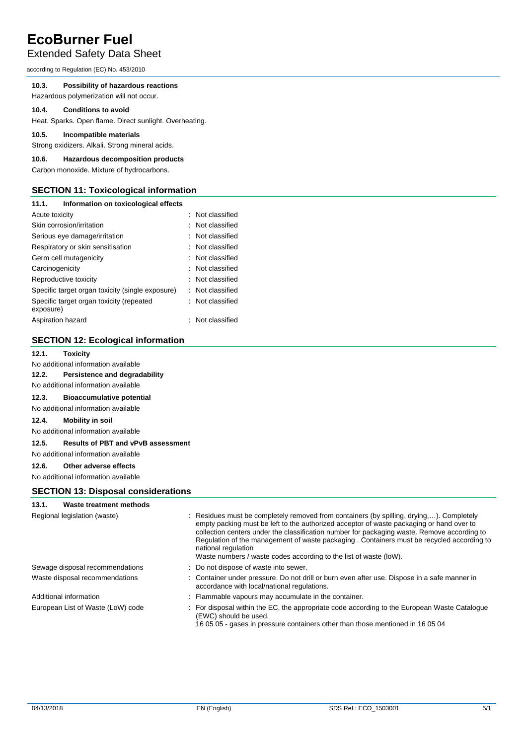### Extended Safety Data Sheet

according to Regulation (EC) No. 453/2010

### **10.3. Possibility of hazardous reactions**

Hazardous polymerization will not occur.

### **10.4. Conditions to avoid**

Heat. Sparks. Open flame. Direct sunlight. Overheating.

### **10.5. Incompatible materials**

Strong oxidizers. Alkali. Strong mineral acids.

### **10.6. Hazardous decomposition products**

Carbon monoxide. Mixture of hydrocarbons.

### **SECTION 11: Toxicological information**

| 11.1.             | Information on toxicological effects             |                  |
|-------------------|--------------------------------------------------|------------------|
| Acute toxicity    |                                                  | : Not classified |
|                   | Skin corrosion/irritation                        | : Not classified |
|                   | Serious eye damage/irritation                    | : Not classified |
|                   | Respiratory or skin sensitisation                | : Not classified |
|                   | Germ cell mutagenicity                           | : Not classified |
| Carcinogenicity   |                                                  | : Not classified |
|                   | Reproductive toxicity                            | : Not classified |
|                   | Specific target organ toxicity (single exposure) | : Not classified |
| exposure)         | Specific target organ toxicity (repeated         | : Not classified |
| Aspiration hazard |                                                  | : Not classified |

### **SECTION 12: Ecological information**

### **12.1. Toxicity**

No additional information available

### **12.2. Persistence and degradability**

### No additional information available

**12.3. Bioaccumulative potential** 

No additional information available

#### **12.4. Mobility in soil**

No additional information available

### **12.5. Results of PBT and vPvB assessment**

No additional information available

### **12.6. Other adverse effects**

No additional information available

### **SECTION 13: Disposal considerations**

#### **13.1. Waste treatment methods**

| Regional legislation (waste)      | : Residues must be completely removed from containers (by spilling, drying,). Completely<br>empty packing must be left to the authorized acceptor of waste packaging or hand over to<br>collection centers under the classification number for packaging waste. Remove according to<br>Regulation of the management of waste packaging . Containers must be recycled according to<br>national regulation<br>Waste numbers / waste codes according to the list of waste (loW). |
|-----------------------------------|-------------------------------------------------------------------------------------------------------------------------------------------------------------------------------------------------------------------------------------------------------------------------------------------------------------------------------------------------------------------------------------------------------------------------------------------------------------------------------|
| Sewage disposal recommendations   | : Do not dispose of waste into sewer.                                                                                                                                                                                                                                                                                                                                                                                                                                         |
| Waste disposal recommendations    | : Container under pressure. Do not drill or burn even after use. Dispose in a safe manner in<br>accordance with local/national regulations.                                                                                                                                                                                                                                                                                                                                   |
| Additional information            | : Flammable vapours may accumulate in the container.                                                                                                                                                                                                                                                                                                                                                                                                                          |
| European List of Waste (LoW) code | : For disposal within the EC, the appropriate code according to the European Waste Catalogue<br>(EWC) should be used.<br>16 05 05 - gases in pressure containers other than those mentioned in 16 05 04                                                                                                                                                                                                                                                                       |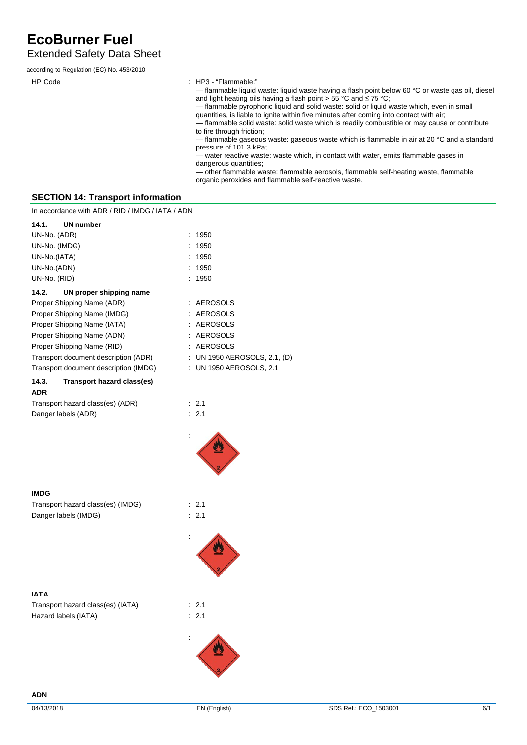### Extended Safety Data Sheet

according to Regulation (EC) No. 453/2010

| HP Code | $\therefore$ HP3 - "Flammable."<br>— flammable liquid waste: liquid waste having a flash point below 60 $\degree$ C or waste gas oil, diesel<br>and light heating oils having a flash point $> 55$ °C and $\leq 75$ °C;<br>- flammable pyrophoric liquid and solid waste: solid or liquid waste which, even in small<br>quantities, is liable to ignite within five minutes after coming into contact with air;<br>- flammable solid waste: solid waste which is readily combustible or may cause or contribute<br>to fire through friction;<br>$-$ flammable gaseous waste: gaseous waste which is flammable in air at 20 °C and a standard<br>pressure of 101.3 kPa;<br>— water reactive waste: waste which, in contact with water, emits flammable gases in<br>dangerous quantities;<br>- other flammable waste: flammable aerosols, flammable self-heating waste, flammable<br>organic peroxides and flammable self-reactive waste. |
|---------|-----------------------------------------------------------------------------------------------------------------------------------------------------------------------------------------------------------------------------------------------------------------------------------------------------------------------------------------------------------------------------------------------------------------------------------------------------------------------------------------------------------------------------------------------------------------------------------------------------------------------------------------------------------------------------------------------------------------------------------------------------------------------------------------------------------------------------------------------------------------------------------------------------------------------------------------|
|         |                                                                                                                                                                                                                                                                                                                                                                                                                                                                                                                                                                                                                                                                                                                                                                                                                                                                                                                                         |

### **SECTION 14: Transport information**

In accordance with ADR / RID / IMDG / IATA / ADN

| UN number<br>14.1.                    |                              |
|---------------------------------------|------------------------------|
| UN-No. (ADR)                          | : 1950                       |
| UN-No. (IMDG)                         | : 1950                       |
| UN-No.(IATA)                          | : 1950                       |
| UN-No.(ADN)                           | : 1950                       |
| UN-No. (RID)                          | : 1950                       |
| UN proper shipping name<br>14.2.      |                              |
| Proper Shipping Name (ADR)            | : AEROSOLS                   |
| Proper Shipping Name (IMDG)           | : AEROSOLS                   |
| Proper Shipping Name (IATA)           | : AEROSOLS                   |
| Proper Shipping Name (ADN)            | : AEROSOLS                   |
| Proper Shipping Name (RID)            | : AEROSOLS                   |
| Transport document description (ADR)  | : UN 1950 AEROSOLS, 2.1, (D) |
| Transport document description (IMDG) | : UN 1950 AEROSOLS, 2.1      |
| Transport hazard class(es)<br>14.3.   |                              |
| <b>ADR</b>                            |                              |
| Transport hazard class(es) (ADR)      | : 2.1                        |
| Danger labels (ADR)                   | : 2.1                        |

:

:

:



Transport hazard class(es) (IMDG) : 2.1 Danger labels (IMDG)  $\qquad \qquad$  : 2.1

**IATA**

| Transport hazard class(es) (IATA) | $\therefore$ 2.1 |
|-----------------------------------|------------------|
| Hazard labels (IATA)              | : 2.1            |



**ADN**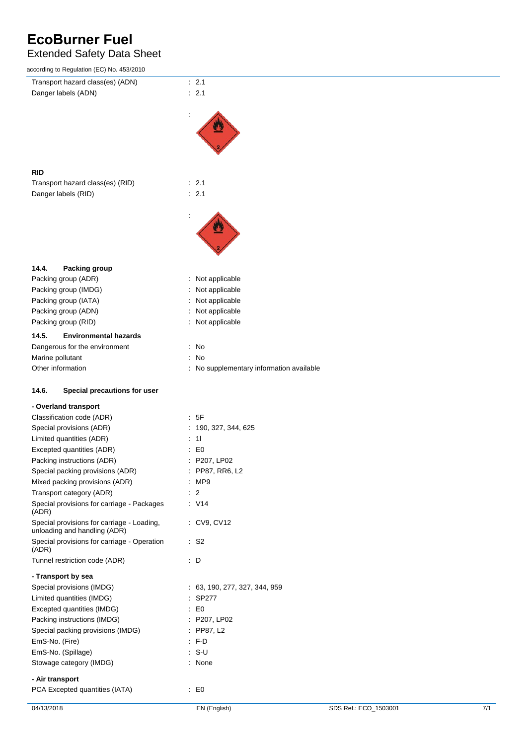### Extended Safety Data Sheet

| according to Regulation (EC) No. 453/2010   |                                          |                       |     |
|---------------------------------------------|------------------------------------------|-----------------------|-----|
| Transport hazard class(es) (ADN)            | : 2.1                                    |                       |     |
| Danger labels (ADN)                         | : 2.1                                    |                       |     |
|                                             |                                          |                       |     |
|                                             |                                          |                       |     |
|                                             |                                          |                       |     |
|                                             |                                          |                       |     |
|                                             |                                          |                       |     |
|                                             |                                          |                       |     |
|                                             |                                          |                       |     |
| <b>RID</b>                                  |                                          |                       |     |
| Transport hazard class(es) (RID)            | $\therefore$ 2.1                         |                       |     |
| Danger labels (RID)                         | : 2.1                                    |                       |     |
|                                             |                                          |                       |     |
|                                             |                                          |                       |     |
|                                             |                                          |                       |     |
|                                             |                                          |                       |     |
|                                             |                                          |                       |     |
|                                             |                                          |                       |     |
| 14.4.<br>Packing group                      |                                          |                       |     |
| Packing group (ADR)                         | : Not applicable                         |                       |     |
| Packing group (IMDG)                        | : Not applicable                         |                       |     |
| Packing group (IATA)                        |                                          |                       |     |
| Packing group (ADN)                         | : Not applicable<br>: Not applicable     |                       |     |
|                                             |                                          |                       |     |
| Packing group (RID)                         | : Not applicable                         |                       |     |
| 14.5.<br><b>Environmental hazards</b>       |                                          |                       |     |
| Dangerous for the environment               | : No                                     |                       |     |
| Marine pollutant                            | : No                                     |                       |     |
| Other information                           | : No supplementary information available |                       |     |
|                                             |                                          |                       |     |
| 14.6.<br>Special precautions for user       |                                          |                       |     |
|                                             |                                          |                       |     |
| - Overland transport                        |                                          |                       |     |
| Classification code (ADR)                   | $\therefore$ 5F                          |                       |     |
| Special provisions (ADR)                    | : 190, 327, 344, 625                     |                       |     |
| Limited quantities (ADR)                    | $\therefore$ 11                          |                       |     |
| Excepted quantities (ADR)                   | $\therefore$ EO                          |                       |     |
| Packing instructions (ADR)                  | : P207, LP02                             |                       |     |
| Special packing provisions (ADR)            | : PP87, RR6, L2                          |                       |     |
| Mixed packing provisions (ADR)              | : MP9                                    |                       |     |
| Transport category (ADR)                    | $\therefore$ 2                           |                       |     |
| Special provisions for carriage - Packages  | $\therefore$ V14                         |                       |     |
| (ADR)                                       |                                          |                       |     |
| Special provisions for carriage - Loading,  | : CV9, CV12                              |                       |     |
| unloading and handling (ADR)                |                                          |                       |     |
| Special provisions for carriage - Operation | $\therefore$ S2                          |                       |     |
| (ADR)                                       |                                          |                       |     |
| Tunnel restriction code (ADR)               | : D                                      |                       |     |
| - Transport by sea                          |                                          |                       |     |
| Special provisions (IMDG)                   | : 63, 190, 277, 327, 344, 959            |                       |     |
| Limited quantities (IMDG)                   | : SP277                                  |                       |     |
| Excepted quantities (IMDG)                  | $\therefore$ EO                          |                       |     |
| Packing instructions (IMDG)                 | : P207, LP02                             |                       |     |
| Special packing provisions (IMDG)           | : PP87, L2                               |                       |     |
|                                             | $: F-D$                                  |                       |     |
| EmS-No. (Fire)                              |                                          |                       |     |
| EmS-No. (Spillage)                          | $: S-U$                                  |                       |     |
| Stowage category (IMDG)                     | : None                                   |                       |     |
| - Air transport                             |                                          |                       |     |
| PCA Excepted quantities (IATA)              | $\therefore$ EO                          |                       |     |
|                                             |                                          |                       |     |
| 04/13/2018                                  | EN (English)                             | SDS Ref.: ECO_1503001 | 7/1 |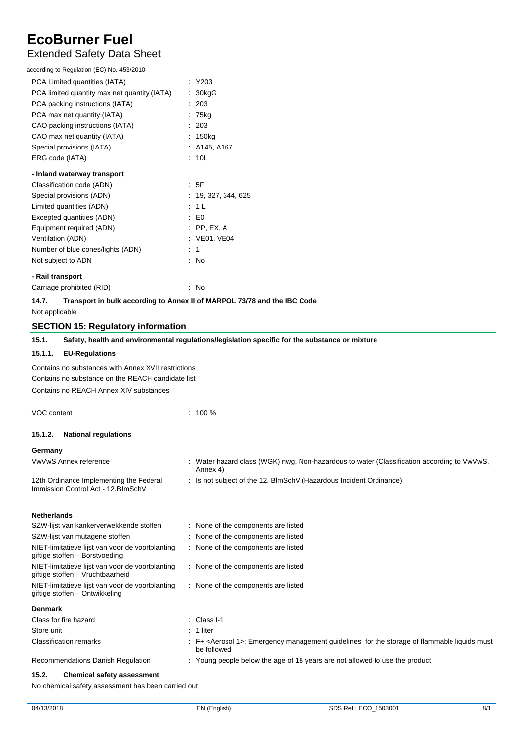### Extended Safety Data Sheet

| according to Regulation (EC) No. 453/2010                                            |                                                                                                                          |
|--------------------------------------------------------------------------------------|--------------------------------------------------------------------------------------------------------------------------|
| PCA Limited quantities (IATA)                                                        | $:$ Y203                                                                                                                 |
| PCA limited quantity max net quantity (IATA)                                         | : 30kgG                                                                                                                  |
| PCA packing instructions (IATA)                                                      | : 203                                                                                                                    |
| PCA max net quantity (IATA)                                                          | : 75kg                                                                                                                   |
| CAO packing instructions (IATA)                                                      | : 203                                                                                                                    |
| CAO max net quantity (IATA)                                                          | : 150kg                                                                                                                  |
| Special provisions (IATA)                                                            | : A145, A167                                                                                                             |
| ERG code (IATA)                                                                      | : 10L                                                                                                                    |
| - Inland waterway transport                                                          |                                                                                                                          |
| Classification code (ADN)                                                            | : 5F                                                                                                                     |
| Special provisions (ADN)                                                             | : 19, 327, 344, 625                                                                                                      |
| Limited quantities (ADN)                                                             | : 1 L                                                                                                                    |
| Excepted quantities (ADN)                                                            | $\therefore$ EO                                                                                                          |
| Equipment required (ADN)                                                             | $:$ PP, EX, A                                                                                                            |
| Ventilation (ADN)                                                                    | : VE01, VE04                                                                                                             |
| Number of blue cones/lights (ADN)                                                    | $\therefore$ 1                                                                                                           |
| Not subject to ADN                                                                   | : No                                                                                                                     |
| - Rail transport                                                                     |                                                                                                                          |
| Carriage prohibited (RID)                                                            | : No                                                                                                                     |
| 14.7.                                                                                | Transport in bulk according to Annex II of MARPOL 73/78 and the IBC Code                                                 |
| Not applicable                                                                       |                                                                                                                          |
| <b>SECTION 15: Regulatory information</b>                                            |                                                                                                                          |
| 15.1.                                                                                | Safety, health and environmental regulations/legislation specific for the substance or mixture                           |
| <b>EU-Regulations</b><br>15.1.1.                                                     |                                                                                                                          |
|                                                                                      |                                                                                                                          |
| Contains no substances with Annex XVII restrictions                                  |                                                                                                                          |
| Contains no substance on the REACH candidate list                                    |                                                                                                                          |
| Contains no REACH Annex XIV substances                                               |                                                                                                                          |
| VOC content                                                                          | $: 100 \%$                                                                                                               |
|                                                                                      |                                                                                                                          |
| 15.1.2.<br><b>National regulations</b>                                               |                                                                                                                          |
| Germany                                                                              |                                                                                                                          |
| VwVwS Annex reference                                                                | Water hazard class (WGK) nwg, Non-hazardous to water (Classification according to VwVwS,<br>Annex 4)                     |
| 12th Ordinance Implementing the Federal<br>Immission Control Act - 12. BlmSchV       | Is not subject of the 12. BlmSchV (Hazardous Incident Ordinance)                                                         |
| <b>Netherlands</b>                                                                   |                                                                                                                          |
| SZW-lijst van kankerverwekkende stoffen                                              | : None of the components are listed                                                                                      |
| SZW-lijst van mutagene stoffen                                                       | : None of the components are listed                                                                                      |
| NIET-limitatieve lijst van voor de voortplanting<br>giftige stoffen - Borstvoeding   | : None of the components are listed                                                                                      |
| NIET-limitatieve lijst van voor de voortplanting                                     | : None of the components are listed                                                                                      |
| giftige stoffen - Vruchtbaarheid<br>NIET-limitatieve lijst van voor de voortplanting | : None of the components are listed                                                                                      |
| giftige stoffen - Ontwikkeling                                                       |                                                                                                                          |
| <b>Denmark</b>                                                                       |                                                                                                                          |
| Class for fire hazard                                                                | : Class I-1                                                                                                              |
| Store unit                                                                           | $: 1$ liter                                                                                                              |
| <b>Classification remarks</b>                                                        | : F+ <aerosol 1="">; Emergency management guidelines for the storage of flammable liquids must<br/>be followed</aerosol> |
| Recommendations Danish Regulation                                                    | Young people below the age of 18 years are not allowed to use the product                                                |

### **15.2. Chemical safety assessment**

No chemical safety assessment has been carried out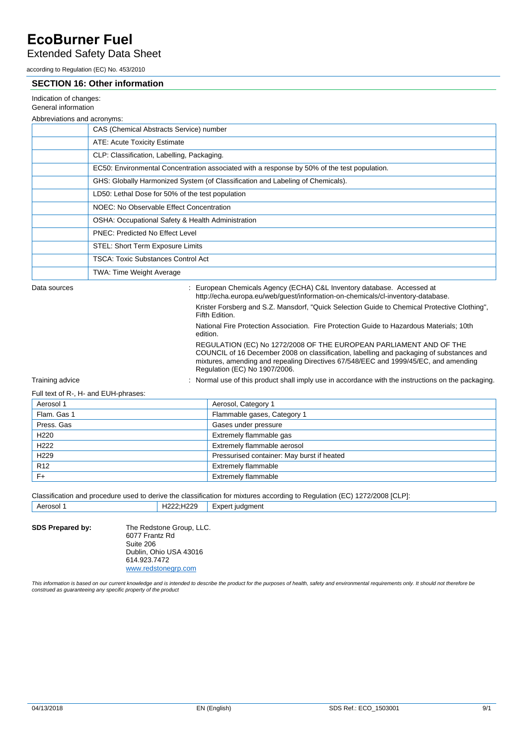### Extended Safety Data Sheet

according to Regulation (EC) No. 453/2010

### **SECTION 16: Other information**

| Indication of changes: |  |
|------------------------|--|

#### General information

#### Abbreviations and acronyms:

| ADDI EVIANOTIS ANU ACIONYMIS. |                                                                                             |  |
|-------------------------------|---------------------------------------------------------------------------------------------|--|
|                               | CAS (Chemical Abstracts Service) number                                                     |  |
|                               | ATE: Acute Toxicity Estimate                                                                |  |
|                               | CLP: Classification, Labelling, Packaging.                                                  |  |
|                               | EC50: Environmental Concentration associated with a response by 50% of the test population. |  |
|                               | GHS: Globally Harmonized System (of Classification and Labeling of Chemicals).              |  |
|                               | LD50: Lethal Dose for 50% of the test population                                            |  |
|                               | NOEC: No Observable Effect Concentration                                                    |  |
|                               | OSHA: Occupational Safety & Health Administration                                           |  |
|                               | <b>PNEC: Predicted No Effect Level</b>                                                      |  |
|                               | STEL: Short Term Exposure Limits                                                            |  |
|                               | <b>TSCA: Toxic Substances Control Act</b>                                                   |  |
|                               | TWA: Time Weight Average                                                                    |  |
|                               |                                                                                             |  |

Data sources **State State State State State State State Concrete Concrete Concrete Accessed at Concrete Accessed at** http://echa.europa.eu/web/guest/information-on-chemicals/cl-inventory-database. Krister Forsberg and S.Z. Mansdorf, "Quick Selection Guide to Chemical Protective Clothing", Fifth Edition. National Fire Protection Association. Fire Protection Guide to Hazardous Materials; 10th edition. REGULATION (EC) No 1272/2008 OF THE EUROPEAN PARLIAMENT AND OF THE COUNCIL of 16 December 2008 on classification, labelling and packaging of substances and mixtures, amending and repealing Directives 67/548/EEC and 1999/45/EC, and amending Regulation (EC) No 1907/2006.

Training advice **included in the instructions** on the packaging.<br>
Increase of this product shall imply use in accordance with the instructions on the packaging.

### Full text of R-, H- and EUH-phrases:

| Aerosol 1        | Aerosol, Category 1                        |
|------------------|--------------------------------------------|
| Flam. Gas 1      | Flammable gases, Category 1                |
| Press, Gas       | Gases under pressure                       |
| H <sub>220</sub> | Extremely flammable gas                    |
| H <sub>222</sub> | Extremely flammable aerosol                |
| H <sub>229</sub> | Pressurised container: May burst if heated |
| R <sub>12</sub>  | <b>Extremely flammable</b>                 |
| $F+$             | <b>Extremely flammable</b>                 |

Classification and procedure used to derive the classification for mixtures according to Regulation (EC) 1272/2008 [CLP]: Aerosol 1 H222;H229 Expert judgment

**SDS Prepared by:** The Redstone Group, LLC. 6077 Frantz Rd Suite 206 Dublin, Ohio USA 43016 614.923.7472 [www.redstonegrp.com](http://www.redstonegrp.com/)

This information is based on our current knowledge and is intended to describe the product for the purposes of health, safety and environmental requirements only. It should not therefore be *construed as guaranteeing any specific property of the product*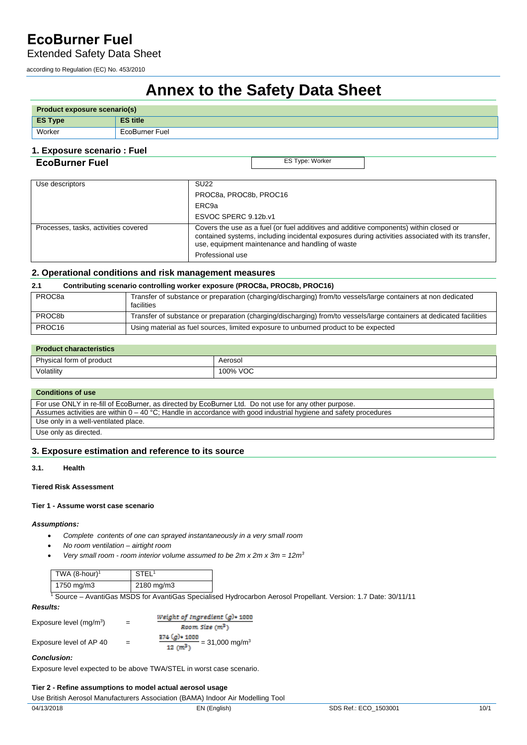Extended Safety Data Sheet

according to Regulation (EC) No. 453/2010

# **Annex to the Safety Data Sheet**

| <b>Product exposure scenario(s)</b> |                 |  |
|-------------------------------------|-----------------|--|
| <b>ES Type</b>                      | <b>ES title</b> |  |
| Worker                              | EcoBurner Fuel  |  |

### **1. Exposure scenario : Fuel**

### **EcoBurner Fuel** ES Type: Worker

| Use descriptors                      | <b>SU22</b>                                                                                                                                                                                                                                                        |
|--------------------------------------|--------------------------------------------------------------------------------------------------------------------------------------------------------------------------------------------------------------------------------------------------------------------|
|                                      | PROC8a, PROC8b, PROC16                                                                                                                                                                                                                                             |
|                                      | ERC9a                                                                                                                                                                                                                                                              |
|                                      | ESVOC SPERC 9.12b.v1                                                                                                                                                                                                                                               |
| Processes, tasks, activities covered | Covers the use as a fuel (or fuel additives and additive components) within closed or<br>contained systems, including incidental exposures during activities associated with its transfer,<br>use, equipment maintenance and handling of waste<br>Professional use |

### **2. Operational conditions and risk management measures**

#### **2.1 Contributing scenario controlling worker exposure (PROC8a, PROC8b, PROC16)**

| PROC <sub>8a</sub> | Transfer of substance or preparation (charging/discharging) from/to vessels/large containers at non dedicated<br>facilities |
|--------------------|-----------------------------------------------------------------------------------------------------------------------------|
| PROC8b             | Transfer of substance or preparation (charging/discharging) from/to vessels/large containers at dedicated facilities        |
| PROC16             | Using material as fuel sources, limited exposure to unburned product to be expected                                         |

### **Product characteristics**

| Physical form of product | Aerosol  |  |
|--------------------------|----------|--|
| Volatility               | 100% VOC |  |

### **Conditions of use**

| For use ONLY in re-fill of EcoBurner, as directed by EcoBurner Ltd. Do not use for any other purpose.              |  |
|--------------------------------------------------------------------------------------------------------------------|--|
| Assumes activities are within $0 - 40$ °C; Handle in accordance with good industrial hygiene and safety procedures |  |
| Use only in a well-ventilated place.                                                                               |  |
| Use only as directed.                                                                                              |  |

### **3. Exposure estimation and reference to its source**

### **3.1. Health**

### **Tiered Risk Assessment**

### **Tier 1 - Assume worst case scenario**

### *Assumptions:*

- *Complete contents of one can sprayed instantaneously in a very small room*
- *No room ventilation airtight room*
- *Very small room room interior volume assumed to be 2m x 2m x 3m = 12m3*

| TWA (8-hour) <sup>1</sup> | STEL <sup>1</sup> |
|---------------------------|-------------------|
| 1750 mg/m3                | 2180 mg/m3        |

1 Source – AvantiGas MSDS for AvantiGas Specialised Hydrocarbon Aerosol Propellant. Version: 1.7 Date: 30/11/11

| <b>Results:</b>           |     |                                                                                                         |
|---------------------------|-----|---------------------------------------------------------------------------------------------------------|
|                           |     | Weight of Ingredient (g)• 1000                                                                          |
| Exposure level $(mq/m^3)$ | $=$ | Room Size (m <sup>3</sup> )                                                                             |
| Exposure level of AP 40   |     | 374 (g)+ 1000<br>$\frac{2.4 \times 1000}{100 \times 10^{3}}$ = 31,000 mg/m <sup>3</sup><br>and success. |

### *Conclusion:*

Exposure level expected to be above TWA/STEL in worst case scenario.

### **Tier 2 - Refine assumptions to model actual aerosol usage**

Use British Aerosol Manufacturers Association (BAMA) Indoor Air Modelling Tool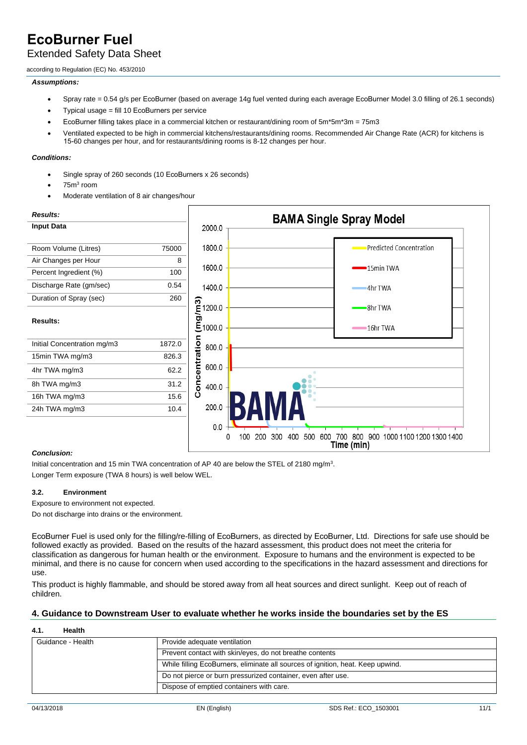### Extended Safety Data Sheet

according to Regulation (EC) No. 453/2010

### *Assumptions:*

- Spray rate = 0.54 g/s per EcoBurner (based on average 14g fuel vented during each average EcoBurner Model 3.0 filling of 26.1 seconds)
- Typical usage = fill 10 EcoBurners per service
- EcoBurner filling takes place in a commercial kitchen or restaurant/dining room of 5m\*5m\*3m = 75m3
- Ventilated expected to be high in commercial kitchens/restaurants/dining rooms. Recommended Air Change Rate (ACR) for kitchens is 15-60 changes per hour, and for restaurants/dining rooms is 8-12 changes per hour.

### *Conditions:*

- Single spray of 260 seconds (10 EcoBurners x 26 seconds)
- $\bullet$  75m<sup>3</sup> room
- Moderate ventilation of 8 air changes/hour



### *Conclusion:*

Initial concentration and 15 min TWA concentration of AP 40 are below the STEL of 2180 mg/m<sup>3</sup>. Longer Term exposure (TWA 8 hours) is well below WEL.

### **3.2. Environment**

Exposure to environment not expected.

Do not discharge into drains or the environment.

EcoBurner Fuel is used only for the filling/re-filling of EcoBurners, as directed by EcoBurner, Ltd. Directions for safe use should be followed exactly as provided. Based on the results of the hazard assessment, this product does not meet the criteria for classification as dangerous for human health or the environment. Exposure to humans and the environment is expected to be minimal, and there is no cause for concern when used according to the specifications in the hazard assessment and directions for use.

This product is highly flammable, and should be stored away from all heat sources and direct sunlight. Keep out of reach of children.

### **4. Guidance to Downstream User to evaluate whether he works inside the boundaries set by the ES**

### **4.1. Health**

| Guidance - Health | Provide adequate ventilation                                                    |
|-------------------|---------------------------------------------------------------------------------|
|                   | Prevent contact with skin/eyes, do not breathe contents                         |
|                   | While filling EcoBurners, eliminate all sources of ignition, heat. Keep upwind. |
|                   | Do not pierce or burn pressurized container, even after use.                    |
|                   | Dispose of emptied containers with care.                                        |